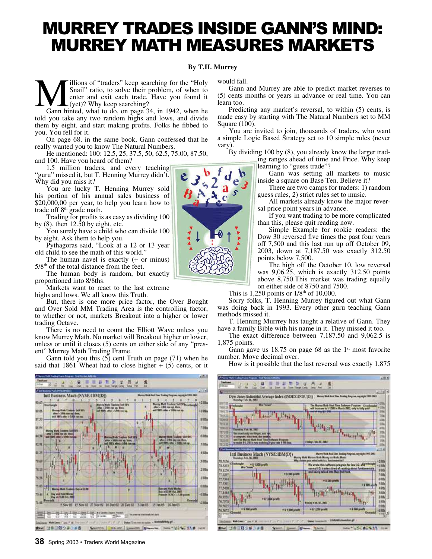## MURREY TRADES INSIDE GANN'S MIND: MURREY MATH MEASURES MARKETS

#### **By T.H. Murrey**

**Manufacture 11** Snail" ratio, to solve their problem, of when to enter and exit each trade. Have you found it Gann hinted, what to do, on page 34, in 1942, when he illions of "traders" keep searching for the "Holy Snail" ratio, to solve their problem, of when to enter and exit each trade. Have you found it (yet)? Why keep searching?

told you take any two random highs and lows, and divide them by eight, and start making profits. Folks he fibbed to you. You fell for it.

On page 68, in the same book, Gann confessed that he really wanted you to know The Natural Numbers.

He mentioned: 100: 12.5, 25, 37.5, 50, 62.5, 75.00, 87.50, and 100. Have you heard of them?

1.5 million traders, and every teaching "guru" missed it, but T. Henning Murrey didn't. Why did you miss it?

You are lucky T. Henning Murrey sold his portion of his annual sales business of \$20,000,00 per year, to help you learn how to trade off  $8<sup>th</sup>$  grade math.

Trading for profits is as easy as dividing 100 by  $(8)$ , then  $12.50$  by eight, etc.

You surely have a child who can divide 100 by eight. Ask them to help you.

Pythagoras said, "Look at a 12 or 13 year old child to see the math of this world."

The human navel is exactly (+ or minus)  $5/8<sup>th</sup>$  of the total distance from the feet.

The human body is random, but exactly proportioned into 8/8ths.

Markets want to react to the last extreme highs and lows. We all know this Truth.

But, there is one more price factor, the Over Bought and Over Sold MM Trading Area is the controlling factor, to whether or not, markets Breakout into a higher or lower trading Octave.

There is no need to count the Elliott Wave unless you know Murrey Math. No market will Breakout higher or lower, unless or until it closes (5) cents on either side of any "present" Murrey Math Trading Frame.

Gann told you this  $(5)$  cent Truth on page  $(71)$  when he said that 1861 Wheat had to close higher  $+$  (5) cents, or it



would fall.

Gann and Murrey are able to predict market reverses to (5) cents months or years in advance or real time. You can learn too.

Predicting any market's reversal, to within (5) cents, is made easy by starting with The Natural Numbers set to MM Square (100).

You are invited to join, thousands of traders, who want a simple Logic Based Strategy set to 10 simple rules (never vary).

By dividing 100 by (8), you already know the larger trading ranges ahead of time and Price. Why keep learning to "guess trade"?

Gann was setting all markets to music inside a square on Base Ten. Believe it?

There are two camps for traders: 1) random guess rules, 2) strict rules set to music.

All markets already know the major reversal price point years in advance.

If you want trading to be more complicated than this, please quit reading now.

Simple Example for rookie readers: the Dow 30 reversed five times the past four years off 7,500 and this last run up off October 09, 2003, down at 7,187.50 was exactly 312.50 points below 7,500.

The high off the October 10, low reversal was 9,06.25, which is exactly 312.50 points above 8,750.This market was trading equally on either side of 8750 and 7500.

This is 1,250 points or  $1/8<sup>th</sup>$  of 10,000.

Sorry folks, T. Henning Murrey figured out what Gann was doing back in 1993. Every other guru teaching Gann methods missed it.

T. Henning Murrrey has taught a relative of Gann. They have a family Bible with his name in it. They missed it too.

The exact difference between 7,187.50 and 9,062.5 is 1,875 points.

Gann gave us  $18.75$  on page 68 as the 1<sup>st</sup> most favorite number. Move decimal over.

How is it possible that the last reversal was exactly 1,875



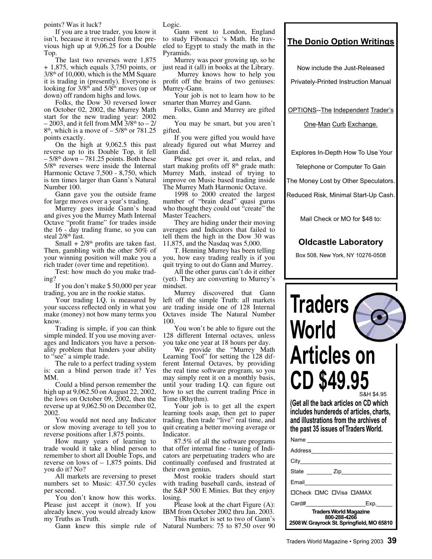points? Was it luck?

If you are a true trader, you know it isn't, because it reversed from the previous high up at 9,06.25 for a Double Top.

The last two reverses were 1,875 + 1,875, which equals 3,750 points, or  $3/8<sup>th</sup>$  of 10,000, which is the MM Square it is trading in (presently). Everyone is looking for  $3/8<sup>th</sup>$  and  $5/8<sup>th</sup>$  moves (up or down) off random highs and lows.

Folks, the Dow 30 reversed lower on October 02, 2002, the Murrey Math start for the new trading year: 2002  $-2003$ , and it fell from MM 3/8<sup>th</sup> to  $-2/$  $8<sup>th</sup>$ , which is a move of  $-5/8<sup>th</sup>$  or  $781.25$ points exactly.

On the high at 9,062.5 this past reverse up to its Double Top, it fell  $-5/8$ <sup>th</sup> down  $-781.25$  points. Both these  $5/8<sup>th</sup>$  reverses were inside the Internal Harmonic Octave 7,500 - 8,750, which is ten times larger than Gann's Natural Number 100.

Gann gave you the outside frame for large moves over a year's trading.

Murrey goes inside Gann's head and gives you the Murrey Math Internal Octave "profit frame" for trades inside the 16 - day trading frame, so you can steal  $2/8$ <sup>th</sup> fast.

Small +  $2/8$ <sup>th</sup> profits are taken fast. Then, gambling with the other 50% of your winning position will make you a rich trader (over time and repetition).

Test: how much do you make trading?

If you don't make \$ 50,000 per year trading, you are in the rookie status.

Your trading I.Q. is measured by your success reflected only in what you make (money) not how many terms you know.

Trading is simple, if you can think simple minded. If you use moving averages and Indicators you have a personality problem that hinders your ability to "see" a simple trade.

The rule to a perfect trading system is: can a blind person trade it? Yes MM.

Could a blind person remember the high up at 9,062.50 on August 22, 2002, the lows on October 09, 2002, then the reverse up at 9,062.50 on December 02, 2002.

You would not need any Indicator or slow moving average to tell you to reverse positions after 1,875 points.

How many years of learning to trade would it take a blind person to remember to short all Double Tops, and reverse on lows of – 1,875 points. Did you do it? No?

All markets are reversing to preset numbers set to Music: 437.50 cycles per second.

You don't know how this works. Please just accept it (now). If you already knew, you would already know my Truths as Truth.

Logic.

Gann went to London, England to study Fibonacci 's Math. He traveled to Egypt to study the math in the Pyramids.

Murrey was poor growing up, so he just read it (all) in books at the Library.

 Murrey knows how to help you profit off the brains of two geniuses: Murrey-Gann.

Your job is not to learn how to be smarter than Murrey and Gann.

Folks, Gann and Murrey are gifted men.

You may be smart, but you aren't gifted.

If you were gifted you would have already figured out what Murrey and Gann did.

Please get over it, and relax, and start making profits off  $8<sup>th</sup>$  grade math: Murrey Math, instead of trying to improve on Music based trading inside The Murrey Math Harmonic Octave.

1998 to 2000 created the largest number of "brain dead" quasi gurus who thought they could out "create" the Master Teachers.

They are hiding under their moving averages and Indicators that failed to tell them the high in the Dow 30 was 11,875, and the Nasdaq was 5,000.

T. Henning Murrey has been telling you, how easy trading really is if you quit trying to out do Gann and Murrey.

All the other gurus can't do it either (yet). They are converting to Murrey's mindset.

Murrey discovered that Gann left off the simple Truth: all markets are trading inside one of 128 Internal Octaves inside The Natural Number 100.

You won't be able to figure out the 128 different Internal octaves, unless you take one year at 18 hours per day.

We provide the "Murrey Math Learning Tool" for setting the 128 different Internal Octaves, by providing the real time software program, so you may simply rent it on a monthly basis, until your trading I.Q. can figure out how to set the current trading Price in Time (Rhythm).

Your job is to get all the expert learning tools asap, then get to paper trading, then trade "live" real time, and quit creating a better moving average or Indicator.

87.5% of all the software programs that offer internal fine - tuning of Indicators are perpetuating traders who are continually confused and frustrated at their own genius.

Most rookie traders should start with trading baseball cards, instead of the S&P 500 E Minies. But they enjoy losing.

Please look at the chart Figure (A): IBM from October 2002 thru Jan. 2003.

Gann knew this simple rule of Natural Numbers: 75 to 87.50 over 90 This market is set to two of Gann's

### **The Donio Option Writings**

Now include the Just-Released

Privately-Printed Instruction Manual

OPTIONS--The Independent Trader's

One-Man Curb Exchange.

Explores In-Depth How To Use Your

Telephone or Computer To Gain

The Money Lost by Other Speculators.

Reduced Risk, Minimal Start-Up Cash.

Mail Check or MO for \$48 to:

### **Oldcastle Laboratory**

Box 508, New York, NY 10276-0508

ℾ



**(Get all the back articles on CD which includes hundereds of articles, charts, and illustrations from the archives of the past 35 issues of Traders World.** 

| Name                                                                                        |  |  |  |  |
|---------------------------------------------------------------------------------------------|--|--|--|--|
| Address                                                                                     |  |  |  |  |
|                                                                                             |  |  |  |  |
| State Zip                                                                                   |  |  |  |  |
| Email                                                                                       |  |  |  |  |
| ПСеск ПМС П Visa ПАМАХ                                                                      |  |  |  |  |
| Card#<br>Exp.                                                                               |  |  |  |  |
| <b>Traders World Magazine</b><br>800-288-4266<br>2508 W. Grayrock St. Springfield, MO 65810 |  |  |  |  |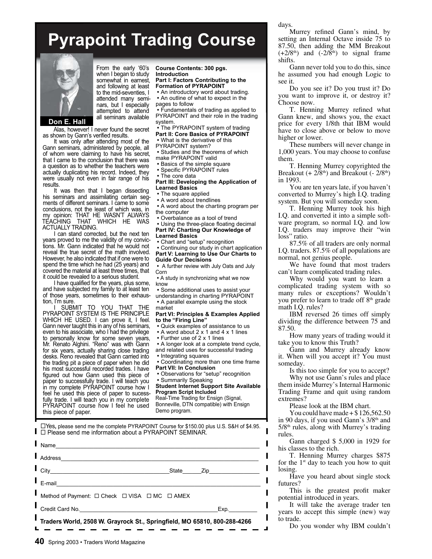# **Pyrapoint Trading Course**



From the early '60's when I began to study somewhat in earnest, and following at least to the mid-seventies, I attended many seminars, but I especially attempted to attend all seminars available

**Don E. Hall** 

Alas, however! I never found the secret as shown by Gann's verified results.

It was only after attending most of the Gann seminars, administered by people, all of whom were claiming to have his secret, that I came to the conclusion that there was a question as to whether the teachers were actually duplicating his record. Indeed, they were usually not even in fair range of his results.

It was then that I began dissecting his seminars and assimilating certain segments of different seminars. I came to some conclusions, not the least of which was, in my opinion: THAT HE WASN'T ALWAYS TEACHING THAT WHICH HE WAS ACTUALLY TRADING.

I can stand corrected, but the next ten years proved to me the validity of my convictions. Mr. Gann indicated that he would not reveal the true secret of the math involved. However, he also indicated that if one were to spend the time which he had (25 years) and covered the material at least three times, that it could be revealed to a serious student.

I have qualified for the years, plus some, and have subjected my family to at least ten of those years, sometimes to their exhaustion, I'm sure.

I SUBMIT TO YOU THAT THE PYRAPOINT SYSTEM IS THE PRINCIPLE WHICH HE USED. I can prove it, I feel. Gann never taught this in any of his seminars, even to his associate, who I had the privilege to personally know for some seven years, Mr. Renato Alghini. "Reno" was with Gann for six years, actually sharing close trading desks. Reno revealed that Gann carried into the trading pit a piece of paper when he did his most successful recorded trades. I have figured out how Gann used this piece of paper to successfully trade. I will teach you in my complete PYRAPOINT course how I feel he used this piece of paper to sucessfully trade. I will teach you in my complete PYRAPOINT course how I feel he used this piece of paper.

**Course Contents: 300 pgs. Introduction Part I: Factors Contributing to the** 

**Formation of PYRAPOINT**

 **•** An introductory word about trading.  **•** An outline of what to expect in the pages to follow

 **•** Fundamentals of trading as applied to PYRAPOINT and their role in the trading system.

 **•** The PYRAPOINT system of trading **Part II: Core Basics of PYRAPOINT**

 **•** What is the derivative of this

PYRAPOINT system?

 **•** Studies and the theorems of which make PYRAPOINT valid

 **•** Basics of the simple square

 **•** Specific PYRAPOINT rules

 **•** The core data

**Part III: Developing the Application of Learned Basics**

 **•** The square applied

 **•** A word about trendlines

 **•** A word about the charting program per the computer

 **•** Overbalance as a tool of trend

 **•** Using the three-place floating decimal **Part IV: Charting Our Knowledge of Learned Basics**

 **•** Chart and "setup" recognition

 **•** Continuing our study in chart application **Part V: Learning to Use Our Charts to Guide Our Decisions**

 **•** A further review with July Oats and July Corn

 **•** A study in synchronizing what we now know

 **•** Some additional uses to assist your understanding in charting PYRAPOINT  **•** A parallel example using the stock market

#### **Part VI: Principles & Examples Applied to the "Firing Line"**

 **•** Quick examples of assistance to us

- A word about 2 x 1 and 4 x 1 lines
- Further use of 2 x 1 lines
- A longer look at a complete trend cycle, and related uses for successful trading  **•** Integrating squares
- Coordinating more than one time frame **Part VII: In Conclusion**
- Observations for "setup" recognition **•** Summarily Speaking

**Student Internet Support Site Available Program Script Included**

Real-Time Trading for Ensign (Signal, Bonneville, DTN compatible) with Ensign Demo program.

!Yes**,** please send me the complete PYRAPOINT Course for \$150.00 plus U.S. S&H of \$4.95. □ Please send me information about a PYRAPOINT SEMINAR.

| $\blacksquare$ Name                                                      |  |                                      |
|--------------------------------------------------------------------------|--|--------------------------------------|
| Address                                                                  |  |                                      |
| $\Gamma$ City                                                            |  | State _______ Zip___________________ |
| $\Gamma$ <sub>E-mail</sub>                                               |  |                                      |
| Method of Payment: □ Check □ VISA □ MC □ AMEX                            |  |                                      |
|                                                                          |  | Exp.                                 |
| Traders World, 2508 W. Grayrock St., Springfield, MO 65810, 800-288-4266 |  |                                      |
|                                                                          |  |                                      |

days.

Murrey refined Gann's mind, by setting an Internal Octave inside 75 to 87.50, then adding the MM Breakout  $(+2/8<sup>th</sup>)$  and  $(-2/8<sup>th</sup>)$  to signal frame shifts.

Gann never told you to do this, since he assumed you had enough Logic to see it.

Do you see it? Do you trust it? Do you want to improve it, or destroy it? Choose now.

T. Henning Murrey refined what Gann knew, and shows you, the exact price for every 1/8th that IBM would have to close above or below to move higher or lower.

These numbers will never change in 1,000 years. You may choose to confuse them.

T. Henning Murrey copyrighted the Breakout  $(+ 2/8<sup>th</sup>)$  and Breakout  $(-2/8<sup>th</sup>)$ in 1993.

You are ten years late, if you haven't converted to Murrey's high I.Q. trading system. But you will someday soon.

T. Henning Murrey took his high I.Q. and converted it into a simple software program, so normal I.Q. and low I.Q. traders may improve their "win loss" ratio.

87.5% of all traders are only normal I.Q. traders. 87.5% of all populations are normal, not genius people.

We have found that most traders can't learn complicated trading rules.

Why would you want to learn a complicated trading system with so many rules or exceptions? Wouldn't you prefer to learn to trade off 8th grade math I.Q. rules?

IBM reversed 26 times off simply dividing the difference between 75 and 87.50.

How many years of trading would it take you to know this Truth?

Gann and Murrey already know it. When will you accept it? You must someday.

Is this too simple for you to accept? Why not use Gann's rules and place them inside Murrey's Internal Harmonic Trading Frame and quit using random extremes?

Please look at the IBM chart.

You could have made  $+$  \$126,562.50 in 90 days, if you used Gann's 3/8th and 5/8th rules, along with Murrey's trading rules.

Gann charged \$ 5,000 in 1929 for his classes to the rich.

T. Henning Murrey charges \$875 for the  $1<sup>st</sup>$  day to teach you how to quit losing.

Have you heard about single stock futures?

This is the greatest profit maker potential introduced in years.

It will take the average trader ten years to accept this simple (new) way to trade.

Do you wonder why IBM couldn't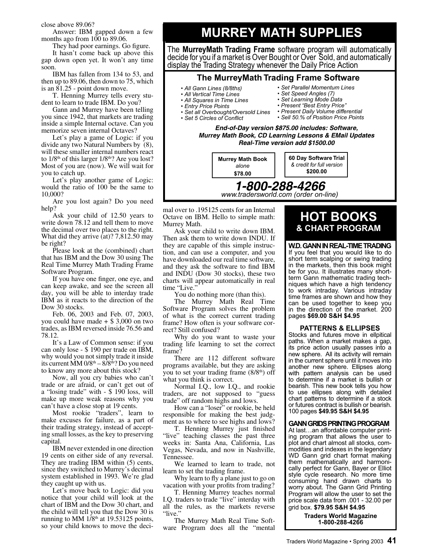close above 89.06?

Answer: IBM gapped down a few months ago from 100 to 89.06.

They had poor earnings. Go figure.

It hasn't come back up above this gap down open yet. It won't any time soon.

IBM has fallen from 134 to 53, and then up to 89.06, then down to 75, which is an 81.25 - point down move.

T. Henning Murrey tells every student to learn to trade IBM. Do you?

Gann and Murrey have been telling you since 1942, that markets are trading inside a simple Internal octave. Can you memorize seven internal Octaves?

Let's play a game of Logic: if you divide any two Natural Numbers by (8), will these smaller internal numbers react to  $1/8^{th}$  of this larger  $1/8^{th}$ ? Are you lost? Most of you are (now). We will wait for you to catch up.

Let's play another game of Logic: would the ratio of 100 be the same to 10,000?

Are you lost again? Do you need help?

Ask your child of 12.50 years to write down 78.12 and tell them to move the decimal over two places to the right. What did they arrive (at)? 7,812.50 may be right?

Please look at the (combined) chart that has IBM and the Dow 30 using The Real Time Murrey Math Trading Frame Software Program.

If you have one finger, one eye, and can keep awake, and see the screen all day, you will be able to interday trade IBM as it reacts to the direction of the Dow 30 stocks.

Feb. 06, 2003 and Feb. 07, 2003, you could have made + \$ 3,000 on two trades, as IBM reversed inside 76.56 and 78.12.

It's a Law of Common sense: if you can only lose - \$ 190 per trade on IBM, why would you not simply trade it inside its current  $\dot{M}M$  0/8<sup>th</sup> – 8/8<sup>th</sup>? Do you need to know any more about this stock?

Now, all you cry babies who can't trade or are afraid, or can't get out of a "losing trade" with - \$ 190 loss, will make up more weak reasons why you can't have a close stop at 19 cents.

Most rookie "traders", learn to make excuses for failure, as a part of their trading strategy, instead of accepting small losses, as the key to preserving capital.

IBM never extended in one direction 19 cents on either side of any reversal. They are trading IBM within (5) cents, since they switched to Murrey's decimal system established in 1993. We're glad they caught up with us.

Let's move back to Logic: did you notice that your child will look at the chart of IBM and the Dow 30 chart, and the child will tell you that the Dow 30 is running to MM  $1/8<sup>th</sup>$  at 19.53125 points, so your child knows to move the deci-

## **MURREY MATH SUPPLIES**

The **MurreyMath Trading Frame** software program will automatically decide for you if a market is Over Bought or Over Sold, and automatically display the Trading Strategy whenever the Daily Price Action

#### **The MurreyMath Trading Frame Software**

- *All Gann Lines (8/8ths)*
- *All Vertical Time Lines*
- *All Squares in Time Lines*
- *Entry Price Points*
- *Set all Overbought/Oversold Lines*
- **Set 5 Circles of Conflict**
- *Present Daily Volume differential • Sell 50.% of Position Price Points*

*• Set Parallel Momentum Lines • Set Speed Angles (7) • Set Learning Mode Data • Present "Best Entry Price"*

**End-of-Day version \$875.00 includes: Software, Murrey Math Book, CD Learning Lessons & EMail Updates Real-Time version add \$1500.00**

**1-800-288-4266**  *www.tradersworld.com (order on-line)* **Murrey Math Book** *alone* **\$78.00 60 Day Software Trial**  *& credit for full version* **\$200.00**

mal over to .195125 cents for an Internal Octave on IBM. Hello to simple math: Murrey Math.

Ask your child to write down IBM. Then ask them to write down INDU. If they are capable of this simple instruction, and can use a computer, and you have downloaded our real time software, and they ask the software to find IBM and INDU (Dow 30 stocks), these two charts will appear automatically in real time "Live."

You do nothing more (than this).

The Murrey Math Real Time Software Program solves the problem of what is the correct current trading frame? How often is your software correct? Still confused?

Why do you want to waste your trading life learning to set the correct frame?

There are 112 different software programs available, but they are asking you to set your trading frame  $(8/8<sup>th</sup>)$  off what you think is correct.

Normal I.Q., low I.Q., and rookie traders, are not supposed to "guess trade" off random highs and lows.

How can a "loser" or rookie, be held responsible for making the best judgment as to where to see highs and lows?

T. Henning Murrey just finished "live" teaching classes the past three weeks in: Santa Ana, California, Las Vegas, Nevada, and now in Nashville, Tennessee.

We learned to learn to trade, not learn to set the trading frame.

Why learn to fly a plane just to go on vacation with your profits from trading?

T. Henning Murrey teaches normal I.Q. traders to trade "live" interday with all the rules, as the markets reverse "live."

The Murrey Math Real Time Software Program does all the "mental

### **HOT BOOKS & CHART PROGRAM**

**W.D. GANN IN REAL-TIME TRADING**  If you feel that you would like to do short term scalping or swing trading

in the markets, then this book might be for you. It illustrates many shortterm Gann mathematic trading techniques which have a high tendency to work intraday. Various intraday time frames are shown and how they can be used together to keep you in the direction of the market. 200 pages **\$69.00 S&H \$4.95**

#### **PATTERNS & ELLIPSES**

Stocks and futures move in ellpitical paths. When a market makes a gap, its price action usually passes into a new sphere. All its activity will remain in the current sphere until it moves into another new sphere. Ellipses along with pattern analysis can be used to determine if a market is bullish or bearish. This new book tells you how to use ellipses along with detailed chart patterns to determine if a stock or futures contract is bullish or bearish. 100 pages **\$49.95 S&H \$4.95**

#### **GANN GRIDS PRINTING PROGRAM**

At last…an affordable computer printing program that allows the user to plot and chart almost all stocks, commodities and indexes in the legendary WD Gann grid chart format making them mathematically and harmonically perfect for Gann, Bayer or Elliot style cycle research. No more time consuming hand drawn charts to worry about. The Gann Grid Printing Program will allow the user to set the price scale data from .001 - 32.00 per grid box. **\$79.95 S&H \$4.95**

> **Traders World Magazine 1-800-288-4266**